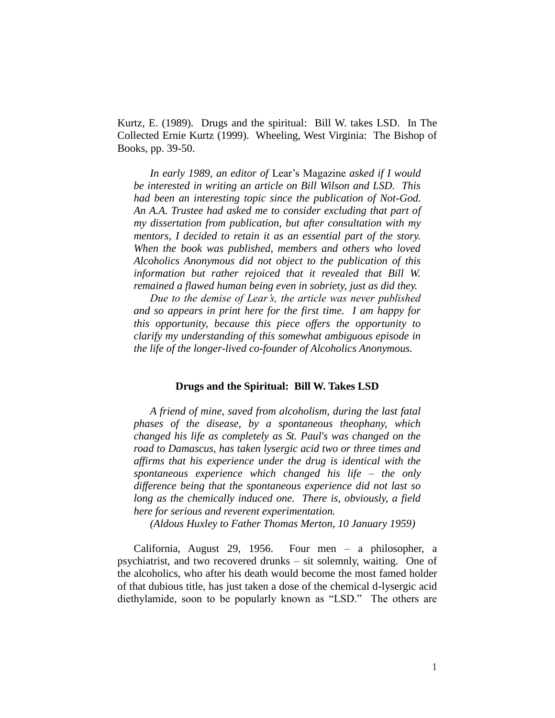Kurtz, E. (1989). Drugs and the spiritual: Bill W. takes LSD. In The Collected Ernie Kurtz (1999). Wheeling, West Virginia: The Bishop of Books, pp. 39-50.

*In early 1989, an editor of* Lear's Magazine *asked if I would be interested in writing an article on Bill Wilson and LSD. This had been an interesting topic since the publication of Not-God. An A.A. Trustee had asked me to consider excluding that part of my dissertation from publication, but after consultation with my mentors, I decided to retain it as an essential part of the story. When the book was published, members and others who loved Alcoholics Anonymous did not object to the publication of this information but rather rejoiced that it revealed that Bill W. remained a flawed human being even in sobriety, just as did they.* 

*Due to the demise of Lear's, the article was never published and so appears in print here for the first time. I am happy for this opportunity, because this piece offers the opportunity to clarify my understanding of this somewhat ambiguous episode in the life of the longer-lived co-founder of Alcoholics Anonymous.* 

#### **Drugs and the Spiritual: Bill W. Takes LSD**

*A friend of mine, saved from alcoholism, during the last fatal phases of the disease, by a spontaneous theophany, which changed his life as completely as St. Paul's was changed on the road to Damascus, has taken lysergic acid two or three times and affirms that his experience under the drug is identical with the spontaneous experience which changed his life – the only difference being that the spontaneous experience did not last so long as the chemically induced one. There is, obviously, a field here for serious and reverent experimentation.*

*(Aldous Huxley to Father Thomas Merton, 10 January 1959)*

California, August 29, 1956. Four men – a philosopher, a psychiatrist, and two recovered drunks – sit solemnly, waiting. One of the alcoholics, who after his death would become the most famed holder of that dubious title, has just taken a dose of the chemical d-lysergic acid diethylamide, soon to be popularly known as "LSD." The others are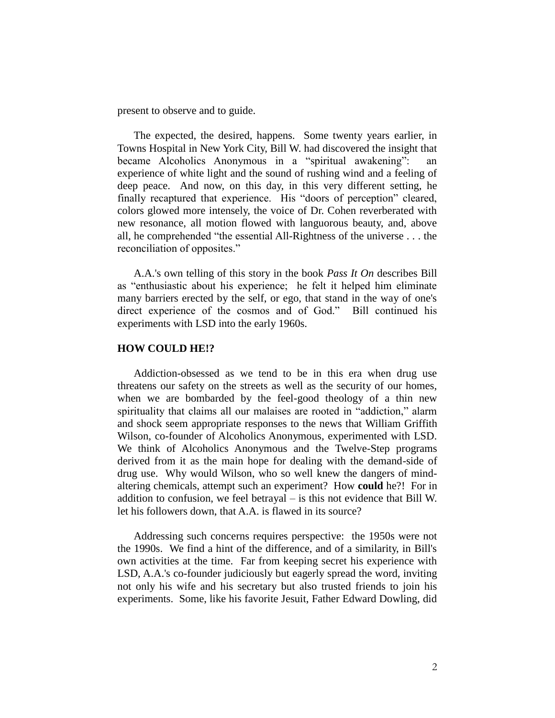present to observe and to guide.

The expected, the desired, happens. Some twenty years earlier, in Towns Hospital in New York City, Bill W. had discovered the insight that became Alcoholics Anonymous in a "spiritual awakening": an experience of white light and the sound of rushing wind and a feeling of deep peace. And now, on this day, in this very different setting, he finally recaptured that experience. His "doors of perception" cleared, colors glowed more intensely, the voice of Dr. Cohen reverberated with new resonance, all motion flowed with languorous beauty, and, above all, he comprehended "the essential All-Rightness of the universe . . . the reconciliation of opposites."

A.A.'s own telling of this story in the book *Pass It On* describes Bill as "enthusiastic about his experience; he felt it helped him eliminate many barriers erected by the self, or ego, that stand in the way of one's direct experience of the cosmos and of God." Bill continued his experiments with LSD into the early 1960s.

## **HOW COULD HE!?**

Addiction-obsessed as we tend to be in this era when drug use threatens our safety on the streets as well as the security of our homes, when we are bombarded by the feel-good theology of a thin new spirituality that claims all our malaises are rooted in "addiction," alarm and shock seem appropriate responses to the news that William Griffith Wilson, co-founder of Alcoholics Anonymous, experimented with LSD. We think of Alcoholics Anonymous and the Twelve-Step programs derived from it as the main hope for dealing with the demand-side of drug use. Why would Wilson, who so well knew the dangers of mindaltering chemicals, attempt such an experiment? How **could** he?! For in addition to confusion, we feel betrayal – is this not evidence that Bill W. let his followers down, that A.A. is flawed in its source?

Addressing such concerns requires perspective: the 1950s were not the 1990s. We find a hint of the difference, and of a similarity, in Bill's own activities at the time. Far from keeping secret his experience with LSD, A.A.'s co-founder judiciously but eagerly spread the word, inviting not only his wife and his secretary but also trusted friends to join his experiments. Some, like his favorite Jesuit, Father Edward Dowling, did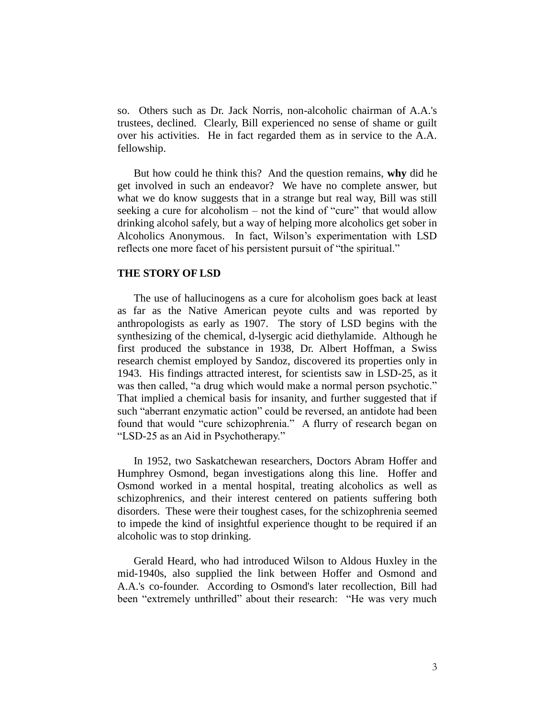so. Others such as Dr. Jack Norris, non-alcoholic chairman of A.A.'s trustees, declined. Clearly, Bill experienced no sense of shame or guilt over his activities. He in fact regarded them as in service to the A.A. fellowship.

But how could he think this? And the question remains, **why** did he get involved in such an endeavor? We have no complete answer, but what we do know suggests that in a strange but real way, Bill was still seeking a cure for alcoholism – not the kind of "cure" that would allow drinking alcohol safely, but a way of helping more alcoholics get sober in Alcoholics Anonymous. In fact, Wilson's experimentation with LSD reflects one more facet of his persistent pursuit of "the spiritual."

### **THE STORY OF LSD**

The use of hallucinogens as a cure for alcoholism goes back at least as far as the Native American peyote cults and was reported by anthropologists as early as 1907. The story of LSD begins with the synthesizing of the chemical, d-lysergic acid diethylamide. Although he first produced the substance in 1938, Dr. Albert Hoffman, a Swiss research chemist employed by Sandoz, discovered its properties only in 1943. His findings attracted interest, for scientists saw in LSD-25, as it was then called, "a drug which would make a normal person psychotic." That implied a chemical basis for insanity, and further suggested that if such "aberrant enzymatic action" could be reversed, an antidote had been found that would "cure schizophrenia." A flurry of research began on "LSD-25 as an Aid in Psychotherapy."

In 1952, two Saskatchewan researchers, Doctors Abram Hoffer and Humphrey Osmond, began investigations along this line. Hoffer and Osmond worked in a mental hospital, treating alcoholics as well as schizophrenics, and their interest centered on patients suffering both disorders. These were their toughest cases, for the schizophrenia seemed to impede the kind of insightful experience thought to be required if an alcoholic was to stop drinking.

Gerald Heard, who had introduced Wilson to Aldous Huxley in the mid-1940s, also supplied the link between Hoffer and Osmond and A.A.'s co-founder. According to Osmond's later recollection, Bill had been "extremely unthrilled" about their research: "He was very much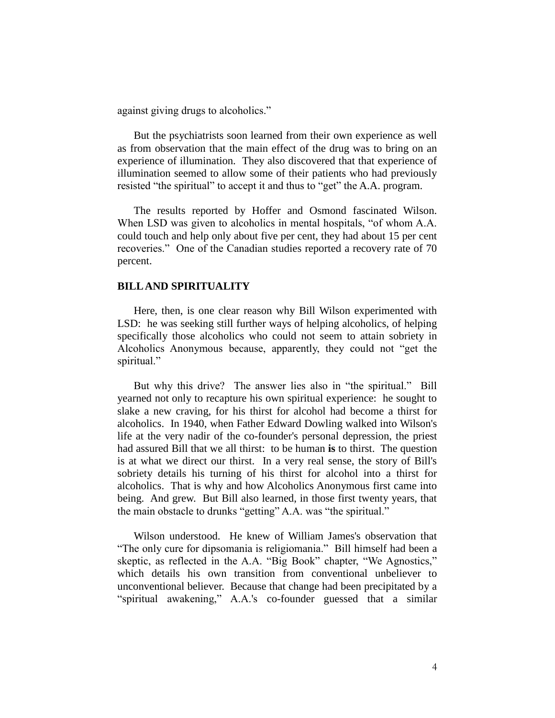against giving drugs to alcoholics."

But the psychiatrists soon learned from their own experience as well as from observation that the main effect of the drug was to bring on an experience of illumination. They also discovered that that experience of illumination seemed to allow some of their patients who had previously resisted "the spiritual" to accept it and thus to "get" the A.A. program.

The results reported by Hoffer and Osmond fascinated Wilson. When LSD was given to alcoholics in mental hospitals, "of whom A.A. could touch and help only about five per cent, they had about 15 per cent recoveries." One of the Canadian studies reported a recovery rate of 70 percent.

## **BILL AND SPIRITUALITY**

Here, then, is one clear reason why Bill Wilson experimented with LSD: he was seeking still further ways of helping alcoholics, of helping specifically those alcoholics who could not seem to attain sobriety in Alcoholics Anonymous because, apparently, they could not "get the spiritual."

But why this drive? The answer lies also in "the spiritual." Bill yearned not only to recapture his own spiritual experience: he sought to slake a new craving, for his thirst for alcohol had become a thirst for alcoholics. In 1940, when Father Edward Dowling walked into Wilson's life at the very nadir of the co-founder's personal depression, the priest had assured Bill that we all thirst: to be human **is** to thirst. The question is at what we direct our thirst. In a very real sense, the story of Bill's sobriety details his turning of his thirst for alcohol into a thirst for alcoholics. That is why and how Alcoholics Anonymous first came into being. And grew. But Bill also learned, in those first twenty years, that the main obstacle to drunks "getting" A.A. was "the spiritual."

Wilson understood. He knew of William James's observation that "The only cure for dipsomania is religiomania." Bill himself had been a skeptic, as reflected in the A.A. "Big Book" chapter, "We Agnostics," which details his own transition from conventional unbeliever to unconventional believer. Because that change had been precipitated by a "spiritual awakening," A.A.'s co-founder guessed that a similar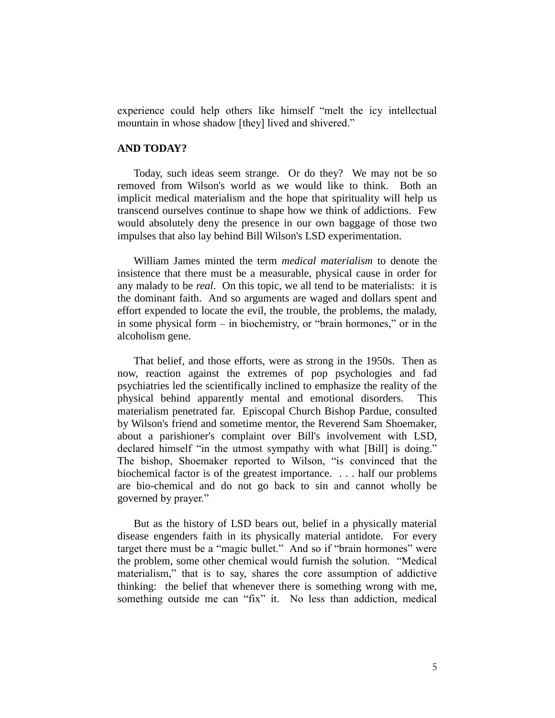experience could help others like himself "melt the icy intellectual mountain in whose shadow [they] lived and shivered."

## **AND TODAY?**

Today, such ideas seem strange. Or do they? We may not be so removed from Wilson's world as we would like to think. Both an implicit medical materialism and the hope that spirituality will help us transcend ourselves continue to shape how we think of addictions. Few would absolutely deny the presence in our own baggage of those two impulses that also lay behind Bill Wilson's LSD experimentation.

William James minted the term *medical materialism* to denote the insistence that there must be a measurable, physical cause in order for any malady to be *real*. On this topic, we all tend to be materialists: it is the dominant faith. And so arguments are waged and dollars spent and effort expended to locate the evil, the trouble, the problems, the malady, in some physical form – in biochemistry, or "brain hormones," or in the alcoholism gene.

That belief, and those efforts, were as strong in the 1950s. Then as now, reaction against the extremes of pop psychologies and fad psychiatries led the scientifically inclined to emphasize the reality of the physical behind apparently mental and emotional disorders. This materialism penetrated far. Episcopal Church Bishop Pardue, consulted by Wilson's friend and sometime mentor, the Reverend Sam Shoemaker, about a parishioner's complaint over Bill's involvement with LSD, declared himself "in the utmost sympathy with what [Bill] is doing." The bishop, Shoemaker reported to Wilson, "is convinced that the biochemical factor is of the greatest importance. . . . half our problems are bio-chemical and do not go back to sin and cannot wholly be governed by prayer."

But as the history of LSD bears out, belief in a physically material disease engenders faith in its physically material antidote. For every target there must be a "magic bullet." And so if "brain hormones" were the problem, some other chemical would furnish the solution. "Medical materialism," that is to say, shares the core assumption of addictive thinking: the belief that whenever there is something wrong with me, something outside me can "fix" it. No less than addiction, medical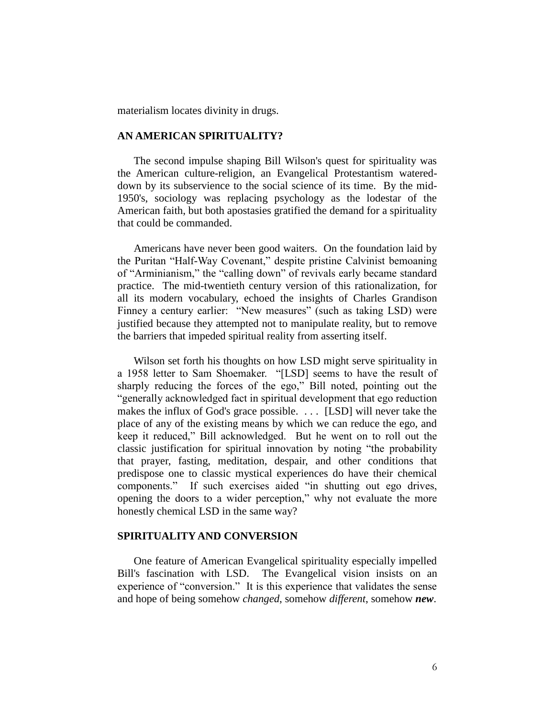materialism locates divinity in drugs.

# **AN AMERICAN SPIRITUALITY?**

The second impulse shaping Bill Wilson's quest for spirituality was the American culture-religion, an Evangelical Protestantism watereddown by its subservience to the social science of its time. By the mid-1950's, sociology was replacing psychology as the lodestar of the American faith, but both apostasies gratified the demand for a spirituality that could be commanded.

Americans have never been good waiters. On the foundation laid by the Puritan "Half-Way Covenant," despite pristine Calvinist bemoaning of "Arminianism," the "calling down" of revivals early became standard practice. The mid-twentieth century version of this rationalization, for all its modern vocabulary, echoed the insights of Charles Grandison Finney a century earlier: "New measures" (such as taking LSD) were justified because they attempted not to manipulate reality, but to remove the barriers that impeded spiritual reality from asserting itself.

Wilson set forth his thoughts on how LSD might serve spirituality in a 1958 letter to Sam Shoemaker. "[LSD] seems to have the result of sharply reducing the forces of the ego," Bill noted, pointing out the "generally acknowledged fact in spiritual development that ego reduction makes the influx of God's grace possible. . . . [LSD] will never take the place of any of the existing means by which we can reduce the ego, and keep it reduced," Bill acknowledged. But he went on to roll out the classic justification for spiritual innovation by noting "the probability that prayer, fasting, meditation, despair, and other conditions that predispose one to classic mystical experiences do have their chemical components." If such exercises aided "in shutting out ego drives, opening the doors to a wider perception," why not evaluate the more honestly chemical LSD in the same way?

### **SPIRITUALITY AND CONVERSION**

One feature of American Evangelical spirituality especially impelled Bill's fascination with LSD. The Evangelical vision insists on an experience of "conversion." It is this experience that validates the sense and hope of being somehow *changed*, somehow *different*, somehow *new*.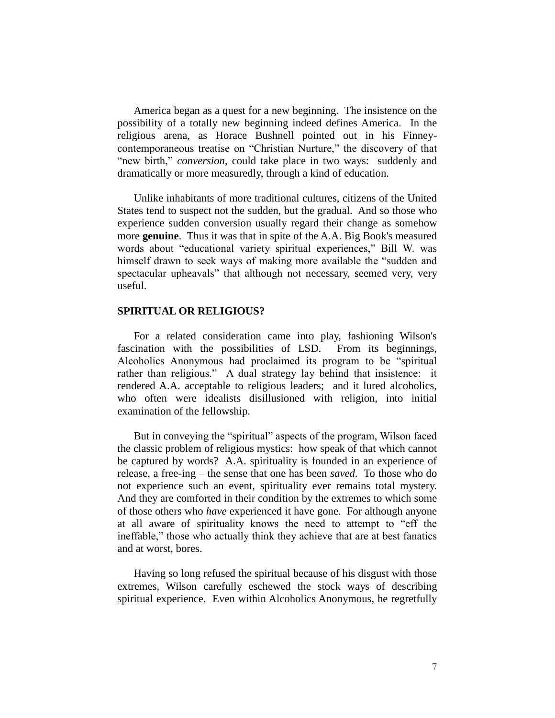America began as a quest for a new beginning. The insistence on the possibility of a totally new beginning indeed defines America. In the religious arena, as Horace Bushnell pointed out in his Finneycontemporaneous treatise on "Christian Nurture," the discovery of that "new birth," *conversion*, could take place in two ways: suddenly and dramatically or more measuredly, through a kind of education.

Unlike inhabitants of more traditional cultures, citizens of the United States tend to suspect not the sudden, but the gradual. And so those who experience sudden conversion usually regard their change as somehow more **genuine**. Thus it was that in spite of the A.A. Big Book's measured words about "educational variety spiritual experiences," Bill W. was himself drawn to seek ways of making more available the "sudden and spectacular upheavals" that although not necessary, seemed very, very useful.

## **SPIRITUAL OR RELIGIOUS?**

For a related consideration came into play, fashioning Wilson's fascination with the possibilities of LSD. From its beginnings, Alcoholics Anonymous had proclaimed its program to be "spiritual rather than religious." A dual strategy lay behind that insistence: it rendered A.A. acceptable to religious leaders; and it lured alcoholics, who often were idealists disillusioned with religion, into initial examination of the fellowship.

But in conveying the "spiritual" aspects of the program, Wilson faced the classic problem of religious mystics: how speak of that which cannot be captured by words? A.A. spirituality is founded in an experience of release, a free-ing – the sense that one has been *saved*. To those who do not experience such an event, spirituality ever remains total mystery. And they are comforted in their condition by the extremes to which some of those others who *have* experienced it have gone. For although anyone at all aware of spirituality knows the need to attempt to "eff the ineffable," those who actually think they achieve that are at best fanatics and at worst, bores.

Having so long refused the spiritual because of his disgust with those extremes, Wilson carefully eschewed the stock ways of describing spiritual experience. Even within Alcoholics Anonymous, he regretfully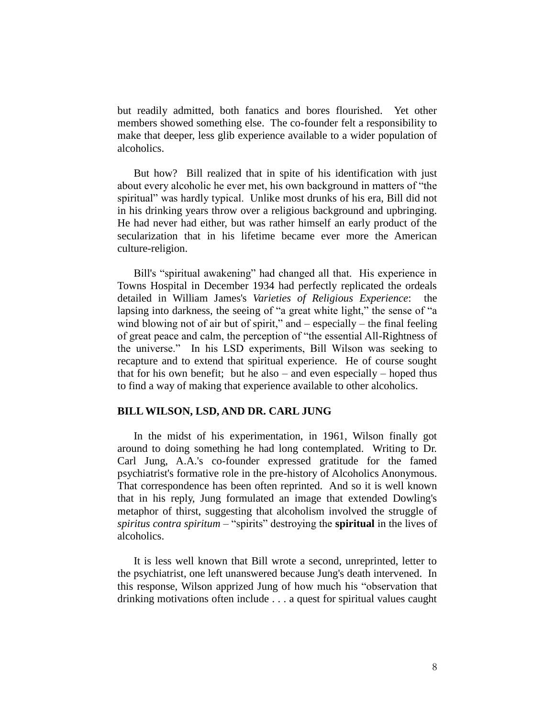but readily admitted, both fanatics and bores flourished. Yet other members showed something else. The co-founder felt a responsibility to make that deeper, less glib experience available to a wider population of alcoholics.

But how? Bill realized that in spite of his identification with just about every alcoholic he ever met, his own background in matters of "the spiritual" was hardly typical. Unlike most drunks of his era, Bill did not in his drinking years throw over a religious background and upbringing. He had never had either, but was rather himself an early product of the secularization that in his lifetime became ever more the American culture-religion.

Bill's "spiritual awakening" had changed all that. His experience in Towns Hospital in December 1934 had perfectly replicated the ordeals detailed in William James's *Varieties of Religious Experience*: the lapsing into darkness, the seeing of "a great white light," the sense of "a wind blowing not of air but of spirit," and  $-$  especially  $-$  the final feeling of great peace and calm, the perception of "the essential All-Rightness of the universe." In his LSD experiments, Bill Wilson was seeking to recapture and to extend that spiritual experience. He of course sought that for his own benefit; but he also – and even especially – hoped thus to find a way of making that experience available to other alcoholics.

# **BILL WILSON, LSD, AND DR. CARL JUNG**

In the midst of his experimentation, in 1961, Wilson finally got around to doing something he had long contemplated. Writing to Dr. Carl Jung, A.A.'s co-founder expressed gratitude for the famed psychiatrist's formative role in the pre-history of Alcoholics Anonymous. That correspondence has been often reprinted. And so it is well known that in his reply, Jung formulated an image that extended Dowling's metaphor of thirst, suggesting that alcoholism involved the struggle of *spiritus contra spiritum* – "spirits" destroying the **spiritual** in the lives of alcoholics.

It is less well known that Bill wrote a second, unreprinted, letter to the psychiatrist, one left unanswered because Jung's death intervened. In this response, Wilson apprized Jung of how much his "observation that drinking motivations often include . . . a quest for spiritual values caught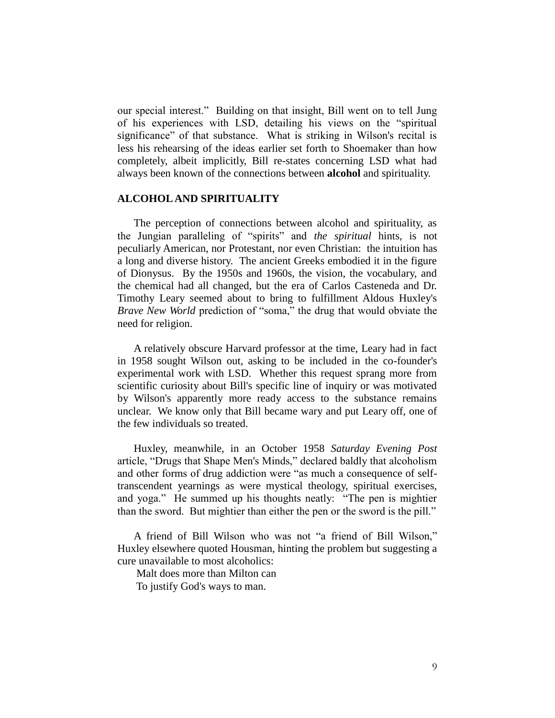our special interest." Building on that insight, Bill went on to tell Jung of his experiences with LSD, detailing his views on the "spiritual significance" of that substance. What is striking in Wilson's recital is less his rehearsing of the ideas earlier set forth to Shoemaker than how completely, albeit implicitly, Bill re-states concerning LSD what had always been known of the connections between **alcohol** and spirituality.

#### **ALCOHOL AND SPIRITUALITY**

The perception of connections between alcohol and spirituality, as the Jungian paralleling of "spirits" and *the spiritual* hints, is not peculiarly American, nor Protestant, nor even Christian: the intuition has a long and diverse history. The ancient Greeks embodied it in the figure of Dionysus. By the 1950s and 1960s, the vision, the vocabulary, and the chemical had all changed, but the era of Carlos Casteneda and Dr. Timothy Leary seemed about to bring to fulfillment Aldous Huxley's *Brave New World* prediction of "soma," the drug that would obviate the need for religion.

A relatively obscure Harvard professor at the time, Leary had in fact in 1958 sought Wilson out, asking to be included in the co-founder's experimental work with LSD. Whether this request sprang more from scientific curiosity about Bill's specific line of inquiry or was motivated by Wilson's apparently more ready access to the substance remains unclear. We know only that Bill became wary and put Leary off, one of the few individuals so treated.

Huxley, meanwhile, in an October 1958 *Saturday Evening Post* article, "Drugs that Shape Men's Minds," declared baldly that alcoholism and other forms of drug addiction were "as much a consequence of selftranscendent yearnings as were mystical theology, spiritual exercises, and yoga." He summed up his thoughts neatly: "The pen is mightier than the sword. But mightier than either the pen or the sword is the pill."

A friend of Bill Wilson who was not "a friend of Bill Wilson," Huxley elsewhere quoted Housman, hinting the problem but suggesting a cure unavailable to most alcoholics:

Malt does more than Milton can

To justify God's ways to man.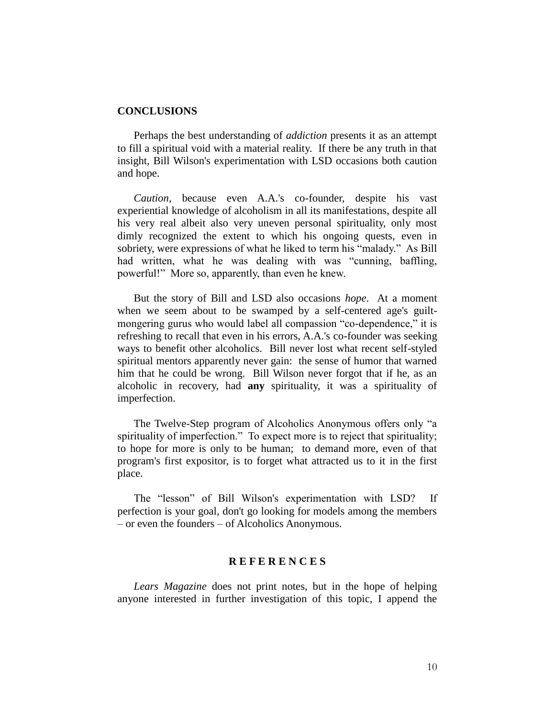#### **CONCLUSIONS**

Perhaps the best understanding of *addiction* presents it as an attempt to fill a spiritual void with a material reality. If there be any truth in that insight, Bill Wilson's experimentation with LSD occasions both caution and hope.

*Caution*, because even A.A.'s co-founder, despite his vast experiential knowledge of alcoholism in all its manifestations, despite all his very real albeit also very uneven personal spirituality, only most dimly recognized the extent to which his ongoing quests, even in sobriety, were expressions of what he liked to term his "malady." As Bill had written, what he was dealing with was "cunning, baffling, powerful!" More so, apparently, than even he knew.

But the story of Bill and LSD also occasions *hope*. At a moment when we seem about to be swamped by a self-centered age's guiltmongering gurus who would label all compassion "co-dependence," it is refreshing to recall that even in his errors, A.A.'s co-founder was seeking ways to benefit other alcoholics. Bill never lost what recent self-styled spiritual mentors apparently never gain: the sense of humor that warned him that he could be wrong. Bill Wilson never forgot that if he, as an alcoholic in recovery, had **any** spirituality, it was a spirituality of imperfection.

The Twelve-Step program of Alcoholics Anonymous offers only "a spirituality of imperfection." To expect more is to reject that spirituality; to hope for more is only to be human; to demand more, even of that program's first expositor, is to forget what attracted us to it in the first place.

The "lesson" of Bill Wilson's experimentation with LSD? If perfection is your goal, don't go looking for models among the members – or even the founders – of Alcoholics Anonymous.

## **R E F E R E N C E S**

*Lears Magazine* does not print notes, but in the hope of helping anyone interested in further investigation of this topic, I append the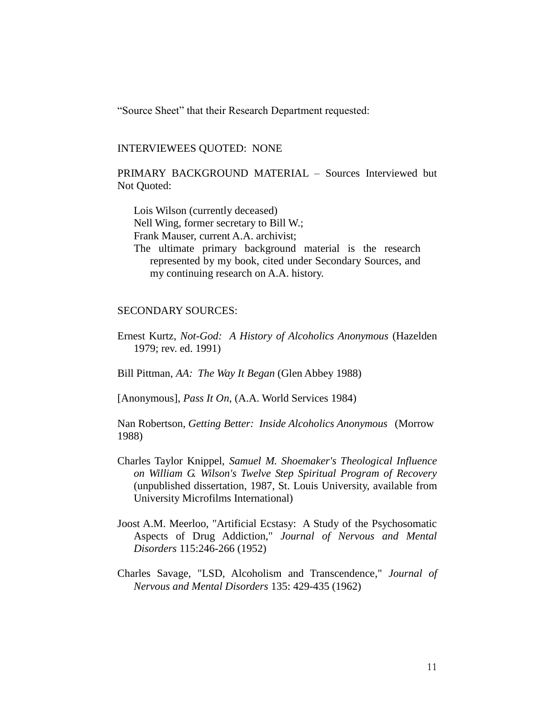"Source Sheet" that their Research Department requested:

#### INTERVIEWEES QUOTED: NONE

PRIMARY BACKGROUND MATERIAL – Sources Interviewed but Not Quoted:

Lois Wilson (currently deceased) Nell Wing, former secretary to Bill W.; Frank Mauser, current A.A. archivist; The ultimate primary background material is the research represented by my book, cited under Secondary Sources, and my continuing research on A.A. history.

#### SECONDARY SOURCES:

Ernest Kurtz, *Not-God: A History of Alcoholics Anonymous* (Hazelden 1979; rev. ed. 1991)

Bill Pittman, *AA: The Way It Began* (Glen Abbey 1988)

[Anonymous], *Pass It On*, (A.A. World Services 1984)

Nan Robertson, *Getting Better: Inside Alcoholics Anonymous* (Morrow 1988)

- Charles Taylor Knippel, *Samuel M. Shoemaker's Theological Influence on William G. Wilson's Twelve Step Spiritual Program of Recovery* (unpublished dissertation, 1987, St. Louis University, available from University Microfilms International)
- Joost A.M. Meerloo, "Artificial Ecstasy: A Study of the Psychosomatic Aspects of Drug Addiction," *Journal of Nervous and Mental Disorders* 115:246-266 (1952)
- Charles Savage, "LSD, Alcoholism and Transcendence," *Journal of Nervous and Mental Disorders* 135: 429-435 (1962)